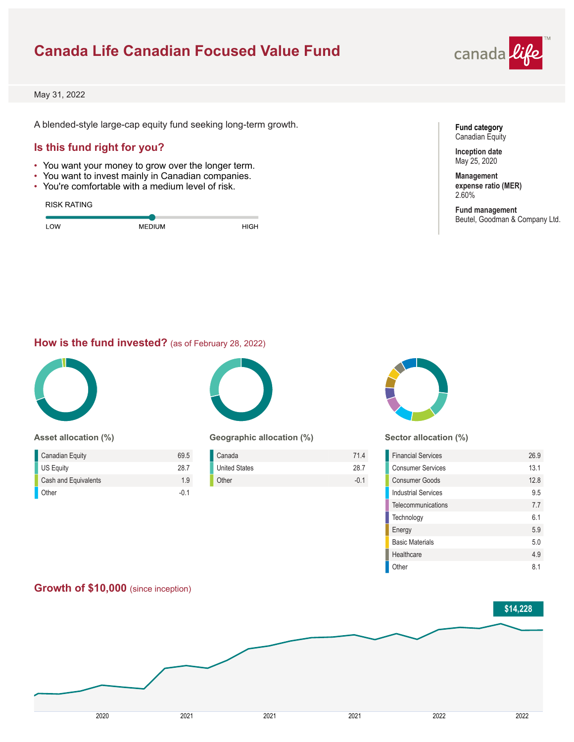# **Canada Life Canadian Focused Value Fund**



May 31, 2022

A blended-style large-cap equity fund seeking long-term growth.

## **Is this fund right for you?**

- You want your money to grow over the longer term.
- You want to invest mainly in Canadian companies.
- You're comfortable with a medium level of risk.

#### RISK RATING

| OW | <b>MEDIUM</b> | പറ |
|----|---------------|----|
|    |               |    |



**Inception date** May 25, 2020

**Management expense ratio (MER)** 2.60%

**Fund management** Beutel, Goodman & Company Ltd.

### **How is the fund invested?** (as of February 28, 2022)



#### **Asset allocation (%)**

| <b>Canadian Equity</b> | 695  |
|------------------------|------|
| <b>US Equity</b>       | 28.7 |
| Cash and Equivalents   | 19   |
| Other                  | -0.1 |



### **Geographic allocation (%)**

| Canada               | 714    |
|----------------------|--------|
| <b>United States</b> | 28.7   |
| Other                | $-0.1$ |



#### **Sector allocation (%)**

| <b>Financial Services</b> | 26.9 |
|---------------------------|------|
| <b>Consumer Services</b>  | 13.1 |
| Consumer Goods            | 128  |
| Industrial Services       | 95   |
| Telecommunications        | 77   |
| Technology                | 61   |
| Energy                    | 5.9  |
| <b>Basic Materials</b>    | 5.0  |
| Healthcare                | 4.9  |
| Other                     | 81   |